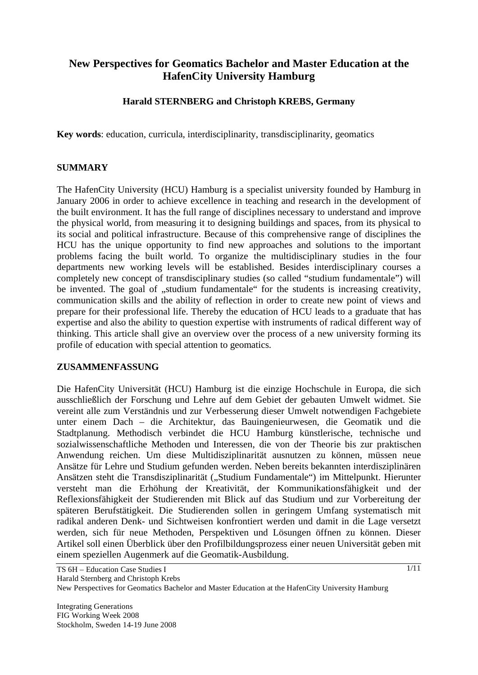# **New Perspectives for Geomatics Bachelor and Master Education at the HafenCity University Hamburg**

# **Harald STERNBERG and Christoph KREBS, Germany**

**Key words**: education, curricula, interdisciplinarity, transdisciplinarity, geomatics

### **SUMMARY**

The HafenCity University (HCU) Hamburg is a specialist university founded by Hamburg in January 2006 in order to achieve excellence in teaching and research in the development of the built environment. It has the full range of disciplines necessary to understand and improve the physical world, from measuring it to designing buildings and spaces, from its physical to its social and political infrastructure. Because of this comprehensive range of disciplines the HCU has the unique opportunity to find new approaches and solutions to the important problems facing the built world. To organize the multidisciplinary studies in the four departments new working levels will be established. Besides interdisciplinary courses a completely new concept of transdisciplinary studies (so called "studium fundamentale") will be invented. The goal of "studium fundamentale" for the students is increasing creativity, communication skills and the ability of reflection in order to create new point of views and prepare for their professional life. Thereby the education of HCU leads to a graduate that has expertise and also the ability to question expertise with instruments of radical different way of thinking. This article shall give an overview over the process of a new university forming its profile of education with special attention to geomatics.

#### **ZUSAMMENFASSUNG**

Die HafenCity Universität (HCU) Hamburg ist die einzige Hochschule in Europa, die sich ausschließlich der Forschung und Lehre auf dem Gebiet der gebauten Umwelt widmet. Sie vereint alle zum Verständnis und zur Verbesserung dieser Umwelt notwendigen Fachgebiete unter einem Dach – die Architektur, das Bauingenieurwesen, die Geomatik und die Stadtplanung. Methodisch verbindet die HCU Hamburg künstlerische, technische und sozialwissenschaftliche Methoden und Interessen, die von der Theorie bis zur praktischen Anwendung reichen. Um diese Multidisziplinarität ausnutzen zu können, müssen neue Ansätze für Lehre und Studium gefunden werden. Neben bereits bekannten interdisziplinären Ansätzen steht die Transdisziplinarität ("Studium Fundamentale") im Mittelpunkt. Hierunter versteht man die Erhöhung der Kreativität, der Kommunikationsfähigkeit und der Reflexionsfähigkeit der Studierenden mit Blick auf das Studium und zur Vorbereitung der späteren Berufstätigkeit. Die Studierenden sollen in geringem Umfang systematisch mit radikal anderen Denk- und Sichtweisen konfrontiert werden und damit in die Lage versetzt werden, sich für neue Methoden, Perspektiven und Lösungen öffnen zu können. Dieser Artikel soll einen Überblick über den Profilbildungsprozess einer neuen Universität geben mit einem speziellen Augenmerk auf die Geomatik-Ausbildung.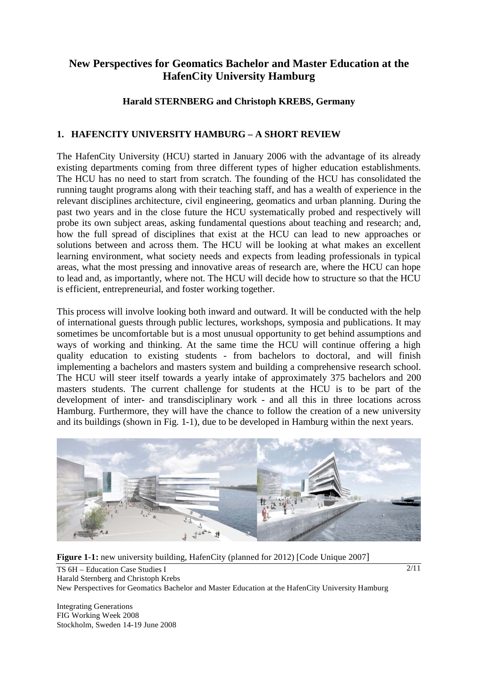# **New Perspectives for Geomatics Bachelor and Master Education at the HafenCity University Hamburg**

## **Harald STERNBERG and Christoph KREBS, Germany**

# **1. HAFENCITY UNIVERSITY HAMBURG – A SHORT REVIEW**

The HafenCity University (HCU) started in January 2006 with the advantage of its already existing departments coming from three different types of higher education establishments. The HCU has no need to start from scratch. The founding of the HCU has consolidated the running taught programs along with their teaching staff, and has a wealth of experience in the relevant disciplines architecture, civil engineering, geomatics and urban planning. During the past two years and in the close future the HCU systematically probed and respectively will probe its own subject areas, asking fundamental questions about teaching and research; and, how the full spread of disciplines that exist at the HCU can lead to new approaches or solutions between and across them. The HCU will be looking at what makes an excellent learning environment, what society needs and expects from leading professionals in typical areas, what the most pressing and innovative areas of research are, where the HCU can hope to lead and, as importantly, where not. The HCU will decide how to structure so that the HCU is efficient, entrepreneurial, and foster working together.

This process will involve looking both inward and outward. It will be conducted with the help of international guests through public lectures, workshops, symposia and publications. It may sometimes be uncomfortable but is a most unusual opportunity to get behind assumptions and ways of working and thinking. At the same time the HCU will continue offering a high quality education to existing students - from bachelors to doctoral, and will finish implementing a bachelors and masters system and building a comprehensive research school. The HCU will steer itself towards a yearly intake of approximately 375 bachelors and 200 masters students. The current challenge for students at the HCU is to be part of the development of inter- and transdisciplinary work - and all this in three locations across Hamburg. Furthermore, they will have the chance to follow the creation of a new university and its buildings (shown in Fig. 1-1), due to be developed in Hamburg within the next years.



**Figure 1-1:** new university building, HafenCity (planned for 2012) [Code Unique 2007]

TS 6H – Education Case Studies I Harald Sternberg and Christoph Krebs New Perspectives for Geomatics Bachelor and Master Education at the HafenCity University Hamburg

Integrating Generations FIG Working Week 2008 Stockholm, Sweden 14-19 June 2008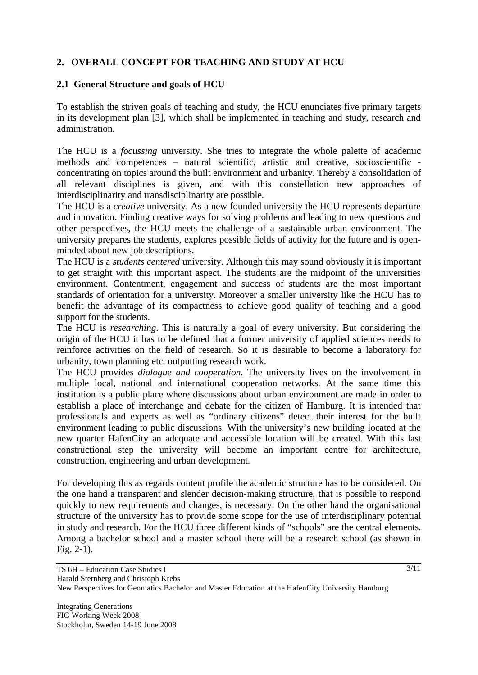# **2. OVERALL CONCEPT FOR TEACHING AND STUDY AT HCU**

### **2.1 General Structure and goals of HCU**

To establish the striven goals of teaching and study, the HCU enunciates five primary targets in its development plan [3], which shall be implemented in teaching and study, research and administration.

The HCU is a *focussing* university. She tries to integrate the whole palette of academic methods and competences – natural scientific, artistic and creative, socioscientific concentrating on topics around the built environment and urbanity. Thereby a consolidation of all relevant disciplines is given, and with this constellation new approaches of interdisciplinarity and transdisciplinarity are possible.

The HCU is a *creative* university. As a new founded university the HCU represents departure and innovation. Finding creative ways for solving problems and leading to new questions and other perspectives, the HCU meets the challenge of a sustainable urban environment. The university prepares the students, explores possible fields of activity for the future and is openminded about new job descriptions.

The HCU is a *students centered* university. Although this may sound obviously it is important to get straight with this important aspect. The students are the midpoint of the universities environment. Contentment, engagement and success of students are the most important standards of orientation for a university. Moreover a smaller university like the HCU has to benefit the advantage of its compactness to achieve good quality of teaching and a good support for the students.

The HCU is *researching*. This is naturally a goal of every university. But considering the origin of the HCU it has to be defined that a former university of applied sciences needs to reinforce activities on the field of research. So it is desirable to become a laboratory for urbanity, town planning etc. outputting research work.

The HCU provides *dialogue and cooperation*. The university lives on the involvement in multiple local, national and international cooperation networks. At the same time this institution is a public place where discussions about urban environment are made in order to establish a place of interchange and debate for the citizen of Hamburg. It is intended that professionals and experts as well as "ordinary citizens" detect their interest for the built environment leading to public discussions. With the university's new building located at the new quarter HafenCity an adequate and accessible location will be created. With this last constructional step the university will become an important centre for architecture, construction, engineering and urban development.

For developing this as regards content profile the academic structure has to be considered. On the one hand a transparent and slender decision-making structure, that is possible to respond quickly to new requirements and changes, is necessary. On the other hand the organisational structure of the university has to provide some scope for the use of interdisciplinary potential in study and research. For the HCU three different kinds of "schools" are the central elements. Among a bachelor school and a master school there will be a research school (as shown in Fig. 2-1).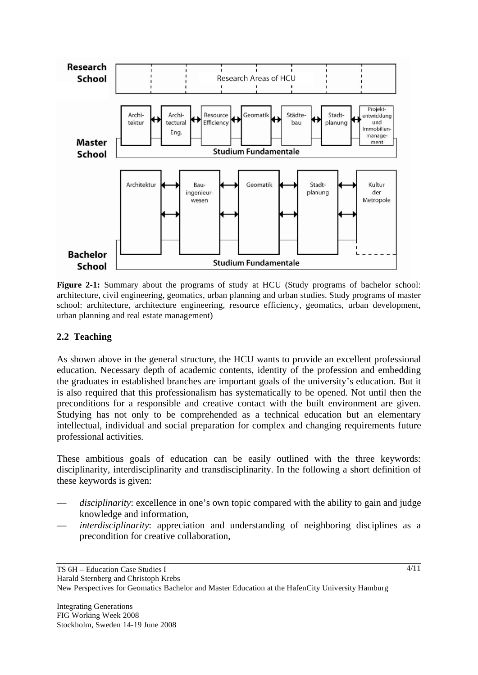

**Figure 2-1:** Summary about the programs of study at HCU (Study programs of bachelor school: architecture, civil engineering, geomatics, urban planning and urban studies. Study programs of master school: architecture, architecture engineering, resource efficiency, geomatics, urban development, urban planning and real estate management)

## **2.2 Teaching**

As shown above in the general structure, the HCU wants to provide an excellent professional education. Necessary depth of academic contents, identity of the profession and embedding the graduates in established branches are important goals of the university's education. But it is also required that this professionalism has systematically to be opened. Not until then the preconditions for a responsible and creative contact with the built environment are given. Studying has not only to be comprehended as a technical education but an elementary intellectual, individual and social preparation for complex and changing requirements future professional activities.

These ambitious goals of education can be easily outlined with the three keywords: disciplinarity, interdisciplinarity and transdisciplinarity. In the following a short definition of these keywords is given:

- disciplinarity: excellence in one's own topic compared with the ability to gain and judge knowledge and information,
- *interdisciplinarity*: appreciation and understanding of neighboring disciplines as a precondition for creative collaboration,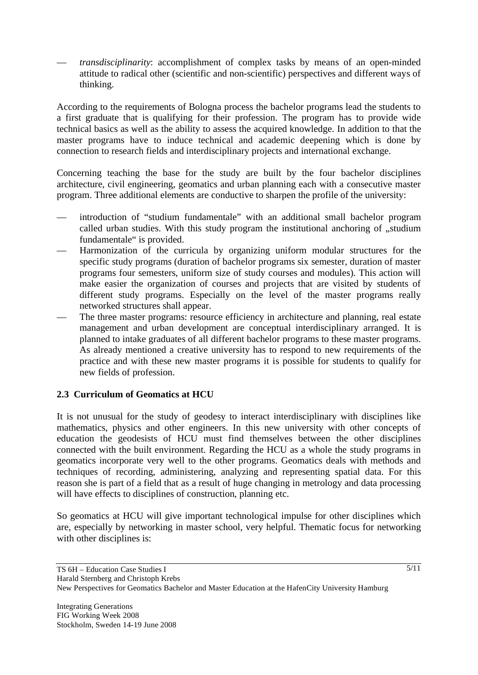— *transdisciplinarity*: accomplishment of complex tasks by means of an open-minded attitude to radical other (scientific and non-scientific) perspectives and different ways of thinking.

According to the requirements of Bologna process the bachelor programs lead the students to a first graduate that is qualifying for their profession. The program has to provide wide technical basics as well as the ability to assess the acquired knowledge. In addition to that the master programs have to induce technical and academic deepening which is done by connection to research fields and interdisciplinary projects and international exchange.

Concerning teaching the base for the study are built by the four bachelor disciplines architecture, civil engineering, geomatics and urban planning each with a consecutive master program. Three additional elements are conductive to sharpen the profile of the university:

- introduction of "studium fundamentale" with an additional small bachelor program called urban studies. With this study program the institutional anchoring of "studium fundamentale" is provided.
- Harmonization of the curricula by organizing uniform modular structures for the specific study programs (duration of bachelor programs six semester, duration of master programs four semesters, uniform size of study courses and modules). This action will make easier the organization of courses and projects that are visited by students of different study programs. Especially on the level of the master programs really networked structures shall appear.
- The three master programs: resource efficiency in architecture and planning, real estate management and urban development are conceptual interdisciplinary arranged. It is planned to intake graduates of all different bachelor programs to these master programs. As already mentioned a creative university has to respond to new requirements of the practice and with these new master programs it is possible for students to qualify for new fields of profession.

# **2.3 Curriculum of Geomatics at HCU**

It is not unusual for the study of geodesy to interact interdisciplinary with disciplines like mathematics, physics and other engineers. In this new university with other concepts of education the geodesists of HCU must find themselves between the other disciplines connected with the built environment. Regarding the HCU as a whole the study programs in geomatics incorporate very well to the other programs. Geomatics deals with methods and techniques of recording, administering, analyzing and representing spatial data. For this reason she is part of a field that as a result of huge changing in metrology and data processing will have effects to disciplines of construction, planning etc.

So geomatics at HCU will give important technological impulse for other disciplines which are, especially by networking in master school, very helpful. Thematic focus for networking with other disciplines is: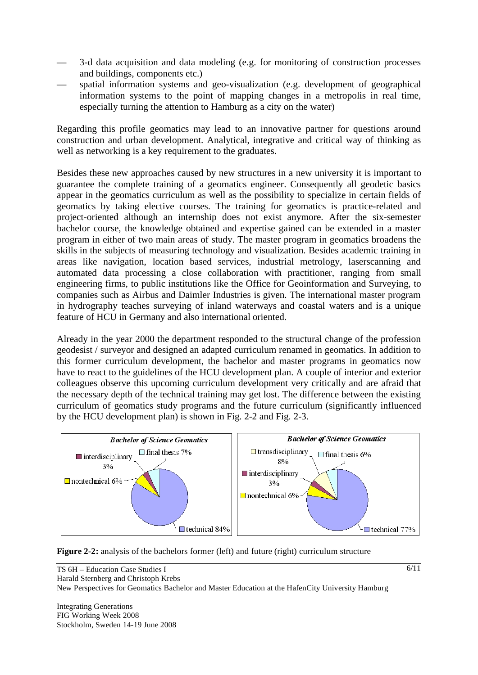- 3-d data acquisition and data modeling (e.g. for monitoring of construction processes and buildings, components etc.)
- spatial information systems and geo-visualization (e.g. development of geographical information systems to the point of mapping changes in a metropolis in real time, especially turning the attention to Hamburg as a city on the water)

Regarding this profile geomatics may lead to an innovative partner for questions around construction and urban development. Analytical, integrative and critical way of thinking as well as networking is a key requirement to the graduates.

Besides these new approaches caused by new structures in a new university it is important to guarantee the complete training of a geomatics engineer. Consequently all geodetic basics appear in the geomatics curriculum as well as the possibility to specialize in certain fields of geomatics by taking elective courses. The training for geomatics is practice-related and project-oriented although an internship does not exist anymore. After the six-semester bachelor course, the knowledge obtained and expertise gained can be extended in a master program in either of two main areas of study. The master program in geomatics broadens the skills in the subjects of measuring technology and visualization. Besides academic training in areas like navigation, location based services, industrial metrology, laserscanning and automated data processing a close collaboration with practitioner, ranging from small engineering firms, to public institutions like the Office for Geoinformation and Surveying, to companies such as Airbus and Daimler Industries is given. The international master program in hydrography teaches surveying of inland waterways and coastal waters and is a unique feature of HCU in Germany and also international oriented.

Already in the year 2000 the department responded to the structural change of the profession geodesist / surveyor and designed an adapted curriculum renamed in geomatics. In addition to this former curriculum development, the bachelor and master programs in geomatics now have to react to the guidelines of the HCU development plan. A couple of interior and exterior colleagues observe this upcoming curriculum development very critically and are afraid that the necessary depth of the technical training may get lost. The difference between the existing curriculum of geomatics study programs and the future curriculum (significantly influenced by the HCU development plan) is shown in Fig. 2-2 and Fig. 2-3.



**Figure 2-2:** analysis of the bachelors former (left) and future (right) curriculum structure

Integrating Generations FIG Working Week 2008 Stockholm, Sweden 14-19 June 2008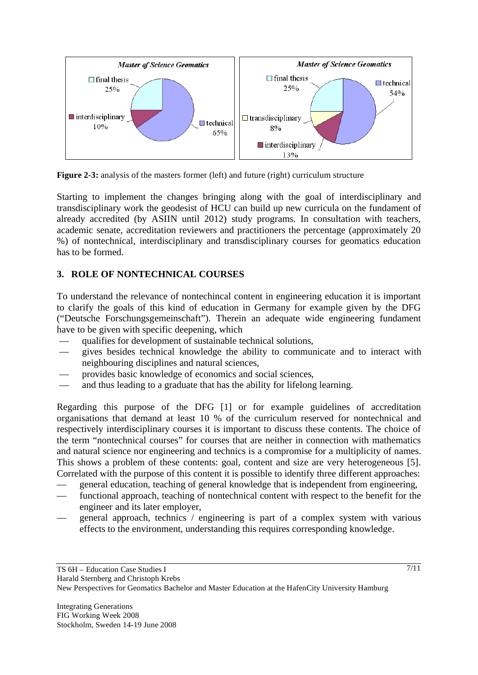

**Figure 2-3:** analysis of the masters former (left) and future (right) curriculum structure

Starting to implement the changes bringing along with the goal of interdisciplinary and transdisciplinary work the geodesist of HCU can build up new curricula on the fundament of already accredited (by ASIIN until 2012) study programs. In consultation with teachers, academic senate, accreditation reviewers and practitioners the percentage (approximately 20 %) of nontechnical, interdisciplinary and transdisciplinary courses for geomatics education has to be formed.

# **3. ROLE OF NONTECHNICAL COURSES**

To understand the relevance of nontechincal content in engineering education it is important to clarify the goals of this kind of education in Germany for example given by the DFG ("Deutsche Forschungsgemeinschaft"). Therein an adequate wide engineering fundament have to be given with specific deepening, which

- qualifies for development of sustainable technical solutions,
- gives besides technical knowledge the ability to communicate and to interact with neighbouring disciplines and natural sciences,
- provides basic knowledge of economics and social sciences,
- and thus leading to a graduate that has the ability for lifelong learning.

Regarding this purpose of the DFG [1] or for example guidelines of accreditation organisations that demand at least 10 % of the curriculum reserved for nontechnical and respectively interdisciplinary courses it is important to discuss these contents. The choice of the term "nontechnical courses" for courses that are neither in connection with mathematics and natural science nor engineering and technics is a compromise for a multiplicity of names. This shows a problem of these contents: goal, content and size are very heterogeneous [5]. Correlated with the purpose of this content it is possible to identify three different approaches:

- general education, teaching of general knowledge that is independent from engineering,
- functional approach, teaching of nontechnical content with respect to the benefit for the engineer and its later employer,
- general approach, technics / engineering is part of a complex system with various effects to the environment, understanding this requires corresponding knowledge.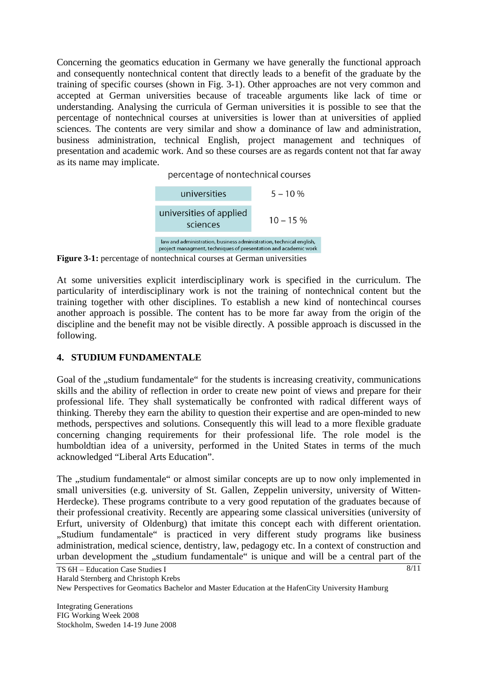Concerning the geomatics education in Germany we have generally the functional approach and consequently nontechnical content that directly leads to a benefit of the graduate by the training of specific courses (shown in Fig. 3-1). Other approaches are not very common and accepted at German universities because of traceable arguments like lack of time or understanding. Analysing the curricula of German universities it is possible to see that the percentage of nontechnical courses at universities is lower than at universities of applied sciences. The contents are very similar and show a dominance of law and administration, business administration, technical English, project management and techniques of presentation and academic work. And so these courses are as regards content not that far away as its name may implicate.

percentage of nontechnical courses



**Figure 3-1:** percentage of nontechnical courses at German universities

At some universities explicit interdisciplinary work is specified in the curriculum. The particularity of interdisciplinary work is not the training of nontechnical content but the training together with other disciplines. To establish a new kind of nontechincal courses another approach is possible. The content has to be more far away from the origin of the discipline and the benefit may not be visible directly. A possible approach is discussed in the following.

## **4. STUDIUM FUNDAMENTALE**

Goal of the "studium fundamentale" for the students is increasing creativity, communications skills and the ability of reflection in order to create new point of views and prepare for their professional life. They shall systematically be confronted with radical different ways of thinking. Thereby they earn the ability to question their expertise and are open-minded to new methods, perspectives and solutions. Consequently this will lead to a more flexible graduate concerning changing requirements for their professional life. The role model is the humboldtian idea of a university, performed in the United States in terms of the much acknowledged "Liberal Arts Education".

The ...studium fundamentale or almost similar concepts are up to now only implemented in small universities (e.g. university of St. Gallen, Zeppelin university, university of Witten-Herdecke). These programs contribute to a very good reputation of the graduates because of their professional creativity. Recently are appearing some classical universities (university of Erfurt, university of Oldenburg) that imitate this concept each with different orientation. "Studium fundamentale" is practiced in very different study programs like business administration, medical science, dentistry, law, pedagogy etc. In a context of construction and urban development the "studium fundamentale" is unique and will be a central part of the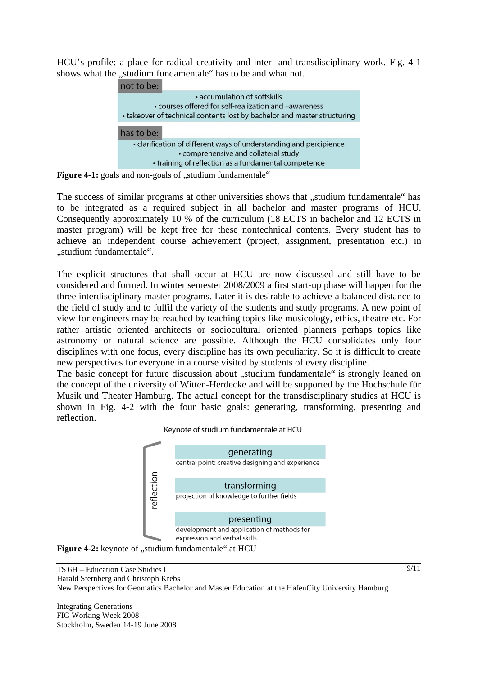HCU's profile: a place for radical creativity and inter- and transdisciplinary work. Fig. 4-1 shows what the "studium fundamentale" has to be and what not.



Figure 4-1: goals and non-goals of "studium fundamentale"

The success of similar programs at other universities shows that "studium fundamentale" has to be integrated as a required subject in all bachelor and master programs of HCU. Consequently approximately 10 % of the curriculum (18 ECTS in bachelor and 12 ECTS in master program) will be kept free for these nontechnical contents. Every student has to achieve an independent course achievement (project, assignment, presentation etc.) in ..studium fundamentale".

The explicit structures that shall occur at HCU are now discussed and still have to be considered and formed. In winter semester 2008/2009 a first start-up phase will happen for the three interdisciplinary master programs. Later it is desirable to achieve a balanced distance to the field of study and to fulfil the variety of the students and study programs. A new point of view for engineers may be reached by teaching topics like musicology, ethics, theatre etc. For rather artistic oriented architects or sociocultural oriented planners perhaps topics like astronomy or natural science are possible. Although the HCU consolidates only four disciplines with one focus, every discipline has its own peculiarity. So it is difficult to create new perspectives for everyone in a course visited by students of every discipline.

The basic concept for future discussion about "studium fundamentale" is strongly leaned on the concept of the university of Witten-Herdecke and will be supported by the Hochschule für Musik und Theater Hamburg. The actual concept for the transdisciplinary studies at HCU is shown in Fig. 4-2 with the four basic goals: generating, transforming, presenting and reflection.

Keynote of studium fundamentale at HCU



**Figure 4-2:** keynote of "studium fundamentale" at HCU

TS 6H – Education Case Studies I Harald Sternberg and Christoph Krebs New Perspectives for Geomatics Bachelor and Master Education at the HafenCity University Hamburg

Integrating Generations FIG Working Week 2008 Stockholm, Sweden 14-19 June 2008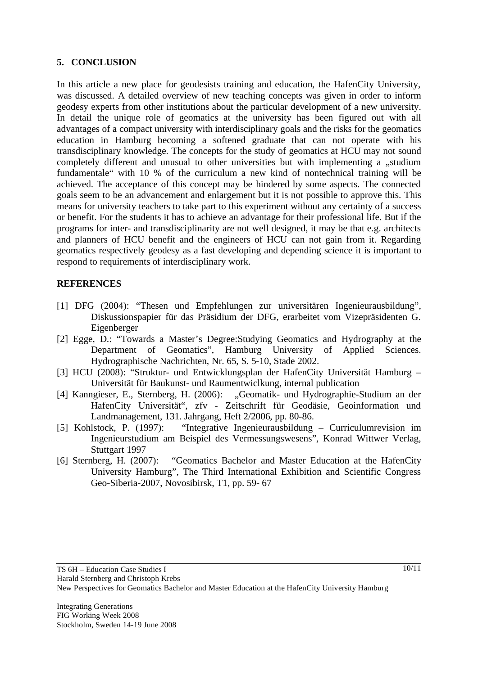### **5. CONCLUSION**

In this article a new place for geodesists training and education, the HafenCity University, was discussed. A detailed overview of new teaching concepts was given in order to inform geodesy experts from other institutions about the particular development of a new university. In detail the unique role of geomatics at the university has been figured out with all advantages of a compact university with interdisciplinary goals and the risks for the geomatics education in Hamburg becoming a softened graduate that can not operate with his transdisciplinary knowledge. The concepts for the study of geomatics at HCU may not sound completely different and unusual to other universities but with implementing a "studium fundamentale" with 10 % of the curriculum a new kind of nontechnical training will be achieved. The acceptance of this concept may be hindered by some aspects. The connected goals seem to be an advancement and enlargement but it is not possible to approve this. This means for university teachers to take part to this experiment without any certainty of a success or benefit. For the students it has to achieve an advantage for their professional life. But if the programs for inter- and transdisciplinarity are not well designed, it may be that e.g. architects and planners of HCU benefit and the engineers of HCU can not gain from it. Regarding geomatics respectively geodesy as a fast developing and depending science it is important to respond to requirements of interdisciplinary work.

### **REFERENCES**

- [1] DFG (2004): "Thesen und Empfehlungen zur universitären Ingenieurausbildung", Diskussionspapier für das Präsidium der DFG, erarbeitet vom Vizepräsidenten G. Eigenberger
- [2] Egge, D.: "Towards a Master's Degree:Studying Geomatics and Hydrography at the Department of Geomatics", Hamburg University of Applied Sciences. Hydrographische Nachrichten, Nr. 65, S. 5-10, Stade 2002.
- [3] HCU (2008): "Struktur- und Entwicklungsplan der HafenCity Universität Hamburg Universität für Baukunst- und Raumentwiclkung, internal publication
- [4] Kanngieser, E., Sternberg, H. (2006): "Geomatik- und Hydrographie-Studium an der HafenCity Universität", zfv - Zeitschrift für Geodäsie, Geoinformation und Landmanagement, 131. Jahrgang, Heft 2/2006, pp. 80-86.
- [5] Kohlstock, P. (1997): "Integrative Ingenieurausbildung Curriculumrevision im Ingenieurstudium am Beispiel des Vermessungswesens", Konrad Wittwer Verlag, Stuttgart 1997
- [6] Sternberg, H. (2007): "Geomatics Bachelor and Master Education at the HafenCity University Hamburg", The Third International Exhibition and Scientific Congress Geo-Siberia-2007, Novosibirsk, T1, pp. 59- 67